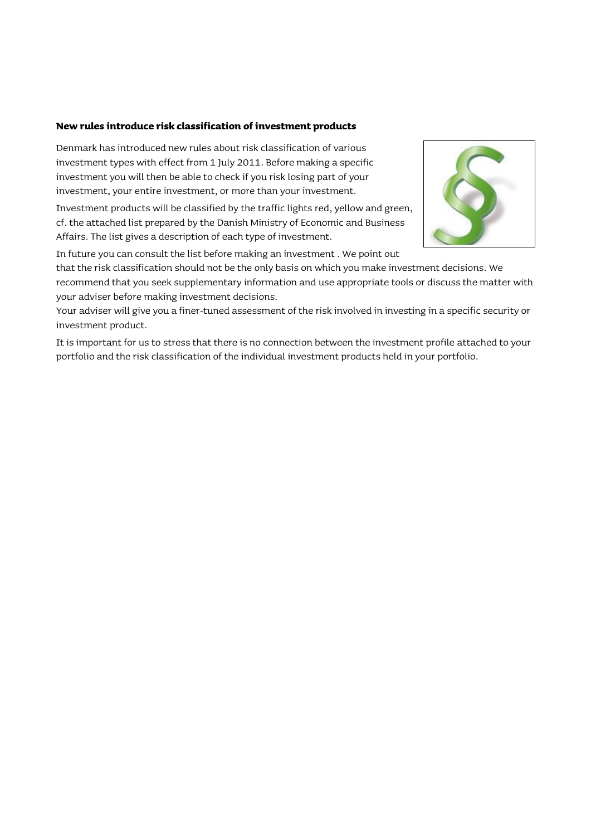## **New rules introduce risk classification of investment products**

Denmark has introduced new rules about risk classification of various investment types with effect from 1 July 2011. Before making a specific investment you will then be able to check if you risk losing part of your investment, your entire investment, or more than your investment.

Investment products will be classified by the traffic lights red, yellow and green, cf. the attached list prepared by the Danish Ministry of Economic and Business Affairs. The list gives a description of each type of investment.



In future you can consult the list before making an investment . We point out

that the risk classification should not be the only basis on which you make investment decisions. We recommend that you seek supplementary information and use appropriate tools or discuss the matter with your adviser before making investment decisions.

Your adviser will give you a finer-tuned assessment of the risk involved in investing in a specific security or investment product.

It is important for us to stress that there is no connection between the investment profile attached to your portfolio and the risk classification of the individual investment products held in your portfolio.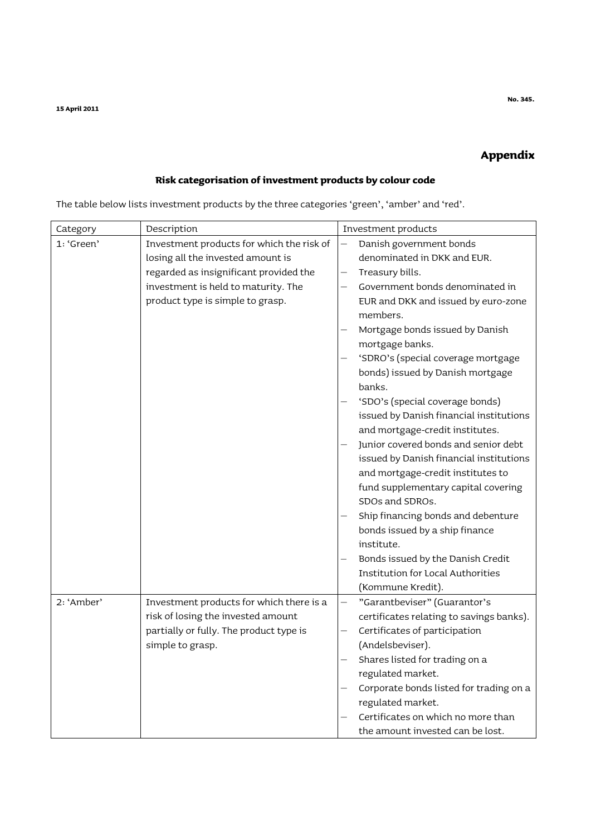## **Appendix**

## **Risk categorisation of investment products by colour code**

| The table below lists investment products by the three categories 'green', 'amber' and 'red'. |                                                                                                                                                                                                     |                                                                                                                                                                                                                                                                                                                                                                                                                                                                                                                                                                                                                                                                                                                                                                                                          |  |  |  |  |
|-----------------------------------------------------------------------------------------------|-----------------------------------------------------------------------------------------------------------------------------------------------------------------------------------------------------|----------------------------------------------------------------------------------------------------------------------------------------------------------------------------------------------------------------------------------------------------------------------------------------------------------------------------------------------------------------------------------------------------------------------------------------------------------------------------------------------------------------------------------------------------------------------------------------------------------------------------------------------------------------------------------------------------------------------------------------------------------------------------------------------------------|--|--|--|--|
| Category                                                                                      | Description                                                                                                                                                                                         | Investment products                                                                                                                                                                                                                                                                                                                                                                                                                                                                                                                                                                                                                                                                                                                                                                                      |  |  |  |  |
| 1: 'Green'                                                                                    | Investment products for which the risk of<br>losing all the invested amount is<br>regarded as insignificant provided the<br>investment is held to maturity. The<br>product type is simple to grasp. | Danish government bonds<br>denominated in DKK and EUR.<br>Treasury bills.<br>Government bonds denominated in<br>EUR and DKK and issued by euro-zone<br>members.<br>Mortgage bonds issued by Danish<br>mortgage banks.<br>'SDRO's (special coverage mortgage<br>bonds) issued by Danish mortgage<br>banks.<br>'SDO's (special coverage bonds)<br>issued by Danish financial institutions<br>and mortgage-credit institutes.<br>Junior covered bonds and senior debt<br>issued by Danish financial institutions<br>and mortgage-credit institutes to<br>fund supplementary capital covering<br>SDOs and SDROs.<br>Ship financing bonds and debenture<br>bonds issued by a ship finance<br>institute.<br>Bonds issued by the Danish Credit<br><b>Institution for Local Authorities</b><br>(Kommune Kredit). |  |  |  |  |
| 2: 'Amber'                                                                                    | Investment products for which there is a<br>risk of losing the invested amount<br>partially or fully. The product type is<br>simple to grasp.                                                       | "Garantbeviser" (Guarantor's<br>certificates relating to savings banks).<br>Certificates of participation<br>(Andelsbeviser).<br>Shares listed for trading on a<br>regulated market.<br>Corporate bonds listed for trading on a<br>regulated market.<br>Certificates on which no more than<br>the amount invested can be lost.                                                                                                                                                                                                                                                                                                                                                                                                                                                                           |  |  |  |  |

The table below lists investment products by the three categories 'green', 'amber' and 'red'.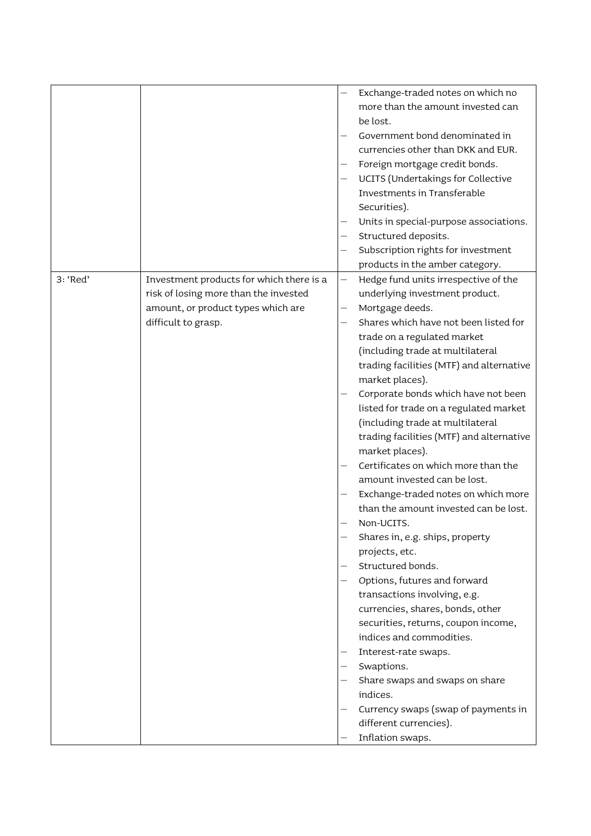| Exchange-traded notes on which no<br>more than the amount invested can<br>be lost.<br>Government bond denominated in<br>currencies other than DKK and EUR.<br>Foreign mortgage credit bonds.<br>UCITS (Undertakings for Collective<br>Investments in Transferable<br>Securities).<br>Units in special-purpose associations.<br>Structured deposits.<br>Subscription rights for investment<br>products in the amber category.<br>3: 'Red'<br>Investment products for which there is a<br>Hedge fund units irrespective of the<br>—<br>risk of losing more than the invested<br>underlying investment product.<br>amount, or product types which are<br>Mortgage deeds.<br>Shares which have not been listed for<br>difficult to grasp.<br>trade on a regulated market<br>(including trade at multilateral<br>trading facilities (MTF) and alternative<br>market places).<br>Corporate bonds which have not been<br>listed for trade on a regulated market<br>(including trade at multilateral<br>trading facilities (MTF) and alternative<br>market places).<br>Certificates on which more than the<br>amount invested can be lost.<br>Exchange-traded notes on which more<br>than the amount invested can be lost.<br>Non-UCITS.<br>Shares in, e.g. ships, property<br>projects, etc.<br>Structured bonds.<br>Options, futures and forward<br>transactions involving, e.g.<br>currencies, shares, bonds, other<br>securities, returns, coupon income,<br>indices and commodities.<br>Interest-rate swaps.<br>Swaptions.<br>Share swaps and swaps on share<br>indices.<br>Currency swaps (swap of payments in<br>different currencies). |  |                  |
|----------------------------------------------------------------------------------------------------------------------------------------------------------------------------------------------------------------------------------------------------------------------------------------------------------------------------------------------------------------------------------------------------------------------------------------------------------------------------------------------------------------------------------------------------------------------------------------------------------------------------------------------------------------------------------------------------------------------------------------------------------------------------------------------------------------------------------------------------------------------------------------------------------------------------------------------------------------------------------------------------------------------------------------------------------------------------------------------------------------------------------------------------------------------------------------------------------------------------------------------------------------------------------------------------------------------------------------------------------------------------------------------------------------------------------------------------------------------------------------------------------------------------------------------------------------------------------------------------------------------------------------|--|------------------|
|                                                                                                                                                                                                                                                                                                                                                                                                                                                                                                                                                                                                                                                                                                                                                                                                                                                                                                                                                                                                                                                                                                                                                                                                                                                                                                                                                                                                                                                                                                                                                                                                                                        |  |                  |
|                                                                                                                                                                                                                                                                                                                                                                                                                                                                                                                                                                                                                                                                                                                                                                                                                                                                                                                                                                                                                                                                                                                                                                                                                                                                                                                                                                                                                                                                                                                                                                                                                                        |  |                  |
|                                                                                                                                                                                                                                                                                                                                                                                                                                                                                                                                                                                                                                                                                                                                                                                                                                                                                                                                                                                                                                                                                                                                                                                                                                                                                                                                                                                                                                                                                                                                                                                                                                        |  |                  |
|                                                                                                                                                                                                                                                                                                                                                                                                                                                                                                                                                                                                                                                                                                                                                                                                                                                                                                                                                                                                                                                                                                                                                                                                                                                                                                                                                                                                                                                                                                                                                                                                                                        |  |                  |
|                                                                                                                                                                                                                                                                                                                                                                                                                                                                                                                                                                                                                                                                                                                                                                                                                                                                                                                                                                                                                                                                                                                                                                                                                                                                                                                                                                                                                                                                                                                                                                                                                                        |  |                  |
|                                                                                                                                                                                                                                                                                                                                                                                                                                                                                                                                                                                                                                                                                                                                                                                                                                                                                                                                                                                                                                                                                                                                                                                                                                                                                                                                                                                                                                                                                                                                                                                                                                        |  |                  |
|                                                                                                                                                                                                                                                                                                                                                                                                                                                                                                                                                                                                                                                                                                                                                                                                                                                                                                                                                                                                                                                                                                                                                                                                                                                                                                                                                                                                                                                                                                                                                                                                                                        |  |                  |
|                                                                                                                                                                                                                                                                                                                                                                                                                                                                                                                                                                                                                                                                                                                                                                                                                                                                                                                                                                                                                                                                                                                                                                                                                                                                                                                                                                                                                                                                                                                                                                                                                                        |  |                  |
|                                                                                                                                                                                                                                                                                                                                                                                                                                                                                                                                                                                                                                                                                                                                                                                                                                                                                                                                                                                                                                                                                                                                                                                                                                                                                                                                                                                                                                                                                                                                                                                                                                        |  |                  |
|                                                                                                                                                                                                                                                                                                                                                                                                                                                                                                                                                                                                                                                                                                                                                                                                                                                                                                                                                                                                                                                                                                                                                                                                                                                                                                                                                                                                                                                                                                                                                                                                                                        |  |                  |
|                                                                                                                                                                                                                                                                                                                                                                                                                                                                                                                                                                                                                                                                                                                                                                                                                                                                                                                                                                                                                                                                                                                                                                                                                                                                                                                                                                                                                                                                                                                                                                                                                                        |  |                  |
|                                                                                                                                                                                                                                                                                                                                                                                                                                                                                                                                                                                                                                                                                                                                                                                                                                                                                                                                                                                                                                                                                                                                                                                                                                                                                                                                                                                                                                                                                                                                                                                                                                        |  |                  |
|                                                                                                                                                                                                                                                                                                                                                                                                                                                                                                                                                                                                                                                                                                                                                                                                                                                                                                                                                                                                                                                                                                                                                                                                                                                                                                                                                                                                                                                                                                                                                                                                                                        |  |                  |
|                                                                                                                                                                                                                                                                                                                                                                                                                                                                                                                                                                                                                                                                                                                                                                                                                                                                                                                                                                                                                                                                                                                                                                                                                                                                                                                                                                                                                                                                                                                                                                                                                                        |  |                  |
|                                                                                                                                                                                                                                                                                                                                                                                                                                                                                                                                                                                                                                                                                                                                                                                                                                                                                                                                                                                                                                                                                                                                                                                                                                                                                                                                                                                                                                                                                                                                                                                                                                        |  |                  |
|                                                                                                                                                                                                                                                                                                                                                                                                                                                                                                                                                                                                                                                                                                                                                                                                                                                                                                                                                                                                                                                                                                                                                                                                                                                                                                                                                                                                                                                                                                                                                                                                                                        |  |                  |
|                                                                                                                                                                                                                                                                                                                                                                                                                                                                                                                                                                                                                                                                                                                                                                                                                                                                                                                                                                                                                                                                                                                                                                                                                                                                                                                                                                                                                                                                                                                                                                                                                                        |  |                  |
|                                                                                                                                                                                                                                                                                                                                                                                                                                                                                                                                                                                                                                                                                                                                                                                                                                                                                                                                                                                                                                                                                                                                                                                                                                                                                                                                                                                                                                                                                                                                                                                                                                        |  |                  |
|                                                                                                                                                                                                                                                                                                                                                                                                                                                                                                                                                                                                                                                                                                                                                                                                                                                                                                                                                                                                                                                                                                                                                                                                                                                                                                                                                                                                                                                                                                                                                                                                                                        |  |                  |
|                                                                                                                                                                                                                                                                                                                                                                                                                                                                                                                                                                                                                                                                                                                                                                                                                                                                                                                                                                                                                                                                                                                                                                                                                                                                                                                                                                                                                                                                                                                                                                                                                                        |  |                  |
|                                                                                                                                                                                                                                                                                                                                                                                                                                                                                                                                                                                                                                                                                                                                                                                                                                                                                                                                                                                                                                                                                                                                                                                                                                                                                                                                                                                                                                                                                                                                                                                                                                        |  |                  |
|                                                                                                                                                                                                                                                                                                                                                                                                                                                                                                                                                                                                                                                                                                                                                                                                                                                                                                                                                                                                                                                                                                                                                                                                                                                                                                                                                                                                                                                                                                                                                                                                                                        |  |                  |
|                                                                                                                                                                                                                                                                                                                                                                                                                                                                                                                                                                                                                                                                                                                                                                                                                                                                                                                                                                                                                                                                                                                                                                                                                                                                                                                                                                                                                                                                                                                                                                                                                                        |  |                  |
|                                                                                                                                                                                                                                                                                                                                                                                                                                                                                                                                                                                                                                                                                                                                                                                                                                                                                                                                                                                                                                                                                                                                                                                                                                                                                                                                                                                                                                                                                                                                                                                                                                        |  |                  |
|                                                                                                                                                                                                                                                                                                                                                                                                                                                                                                                                                                                                                                                                                                                                                                                                                                                                                                                                                                                                                                                                                                                                                                                                                                                                                                                                                                                                                                                                                                                                                                                                                                        |  |                  |
|                                                                                                                                                                                                                                                                                                                                                                                                                                                                                                                                                                                                                                                                                                                                                                                                                                                                                                                                                                                                                                                                                                                                                                                                                                                                                                                                                                                                                                                                                                                                                                                                                                        |  |                  |
|                                                                                                                                                                                                                                                                                                                                                                                                                                                                                                                                                                                                                                                                                                                                                                                                                                                                                                                                                                                                                                                                                                                                                                                                                                                                                                                                                                                                                                                                                                                                                                                                                                        |  |                  |
|                                                                                                                                                                                                                                                                                                                                                                                                                                                                                                                                                                                                                                                                                                                                                                                                                                                                                                                                                                                                                                                                                                                                                                                                                                                                                                                                                                                                                                                                                                                                                                                                                                        |  |                  |
|                                                                                                                                                                                                                                                                                                                                                                                                                                                                                                                                                                                                                                                                                                                                                                                                                                                                                                                                                                                                                                                                                                                                                                                                                                                                                                                                                                                                                                                                                                                                                                                                                                        |  |                  |
|                                                                                                                                                                                                                                                                                                                                                                                                                                                                                                                                                                                                                                                                                                                                                                                                                                                                                                                                                                                                                                                                                                                                                                                                                                                                                                                                                                                                                                                                                                                                                                                                                                        |  |                  |
|                                                                                                                                                                                                                                                                                                                                                                                                                                                                                                                                                                                                                                                                                                                                                                                                                                                                                                                                                                                                                                                                                                                                                                                                                                                                                                                                                                                                                                                                                                                                                                                                                                        |  |                  |
|                                                                                                                                                                                                                                                                                                                                                                                                                                                                                                                                                                                                                                                                                                                                                                                                                                                                                                                                                                                                                                                                                                                                                                                                                                                                                                                                                                                                                                                                                                                                                                                                                                        |  |                  |
|                                                                                                                                                                                                                                                                                                                                                                                                                                                                                                                                                                                                                                                                                                                                                                                                                                                                                                                                                                                                                                                                                                                                                                                                                                                                                                                                                                                                                                                                                                                                                                                                                                        |  |                  |
|                                                                                                                                                                                                                                                                                                                                                                                                                                                                                                                                                                                                                                                                                                                                                                                                                                                                                                                                                                                                                                                                                                                                                                                                                                                                                                                                                                                                                                                                                                                                                                                                                                        |  |                  |
|                                                                                                                                                                                                                                                                                                                                                                                                                                                                                                                                                                                                                                                                                                                                                                                                                                                                                                                                                                                                                                                                                                                                                                                                                                                                                                                                                                                                                                                                                                                                                                                                                                        |  |                  |
|                                                                                                                                                                                                                                                                                                                                                                                                                                                                                                                                                                                                                                                                                                                                                                                                                                                                                                                                                                                                                                                                                                                                                                                                                                                                                                                                                                                                                                                                                                                                                                                                                                        |  |                  |
|                                                                                                                                                                                                                                                                                                                                                                                                                                                                                                                                                                                                                                                                                                                                                                                                                                                                                                                                                                                                                                                                                                                                                                                                                                                                                                                                                                                                                                                                                                                                                                                                                                        |  |                  |
|                                                                                                                                                                                                                                                                                                                                                                                                                                                                                                                                                                                                                                                                                                                                                                                                                                                                                                                                                                                                                                                                                                                                                                                                                                                                                                                                                                                                                                                                                                                                                                                                                                        |  |                  |
|                                                                                                                                                                                                                                                                                                                                                                                                                                                                                                                                                                                                                                                                                                                                                                                                                                                                                                                                                                                                                                                                                                                                                                                                                                                                                                                                                                                                                                                                                                                                                                                                                                        |  |                  |
|                                                                                                                                                                                                                                                                                                                                                                                                                                                                                                                                                                                                                                                                                                                                                                                                                                                                                                                                                                                                                                                                                                                                                                                                                                                                                                                                                                                                                                                                                                                                                                                                                                        |  |                  |
|                                                                                                                                                                                                                                                                                                                                                                                                                                                                                                                                                                                                                                                                                                                                                                                                                                                                                                                                                                                                                                                                                                                                                                                                                                                                                                                                                                                                                                                                                                                                                                                                                                        |  |                  |
|                                                                                                                                                                                                                                                                                                                                                                                                                                                                                                                                                                                                                                                                                                                                                                                                                                                                                                                                                                                                                                                                                                                                                                                                                                                                                                                                                                                                                                                                                                                                                                                                                                        |  |                  |
|                                                                                                                                                                                                                                                                                                                                                                                                                                                                                                                                                                                                                                                                                                                                                                                                                                                                                                                                                                                                                                                                                                                                                                                                                                                                                                                                                                                                                                                                                                                                                                                                                                        |  |                  |
|                                                                                                                                                                                                                                                                                                                                                                                                                                                                                                                                                                                                                                                                                                                                                                                                                                                                                                                                                                                                                                                                                                                                                                                                                                                                                                                                                                                                                                                                                                                                                                                                                                        |  |                  |
|                                                                                                                                                                                                                                                                                                                                                                                                                                                                                                                                                                                                                                                                                                                                                                                                                                                                                                                                                                                                                                                                                                                                                                                                                                                                                                                                                                                                                                                                                                                                                                                                                                        |  |                  |
|                                                                                                                                                                                                                                                                                                                                                                                                                                                                                                                                                                                                                                                                                                                                                                                                                                                                                                                                                                                                                                                                                                                                                                                                                                                                                                                                                                                                                                                                                                                                                                                                                                        |  | Inflation swaps. |